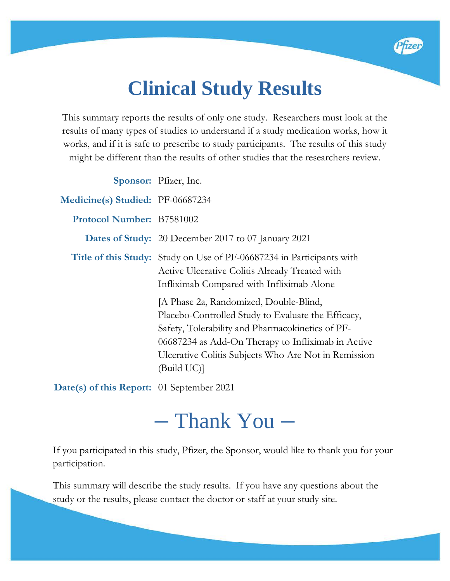# **Clinical Study Results**

Pfizer

This summary reports the results of only one study. Researchers must look at the results of many types of studies to understand if a study medication works, how it works, and if it is safe to prescribe to study participants. The results of this study might be different than the results of other studies that the researchers review.

|                                  | Sponsor: Pfizer, Inc.                                                                                                                                                                                                                                                         |
|----------------------------------|-------------------------------------------------------------------------------------------------------------------------------------------------------------------------------------------------------------------------------------------------------------------------------|
| Medicine(s) Studied: PF-06687234 |                                                                                                                                                                                                                                                                               |
| <b>Protocol Number: B7581002</b> |                                                                                                                                                                                                                                                                               |
|                                  | <b>Dates of Study:</b> 20 December 2017 to 07 January 2021                                                                                                                                                                                                                    |
|                                  | <b>Title of this Study:</b> Study on Use of PF-06687234 in Participants with<br>Active Ulcerative Colitis Already Treated with<br>Infliximab Compared with Infliximab Alone                                                                                                   |
|                                  | [A Phase 2a, Randomized, Double-Blind,<br>Placebo-Controlled Study to Evaluate the Efficacy,<br>Safety, Tolerability and Pharmacokinetics of PF-<br>06687234 as Add-On Therapy to Infliximab in Active<br>Ulcerative Colitis Subjects Who Are Not in Remission<br>(Build UC)] |
|                                  |                                                                                                                                                                                                                                                                               |

**Date(s) of this Report:** 01 September 2021

# – Thank You –

If you participated in this study, Pfizer, the Sponsor, would like to thank you for your participation.

This summary will describe the study results. If you have any questions about the study or the results, please contact the doctor or staff at your study site.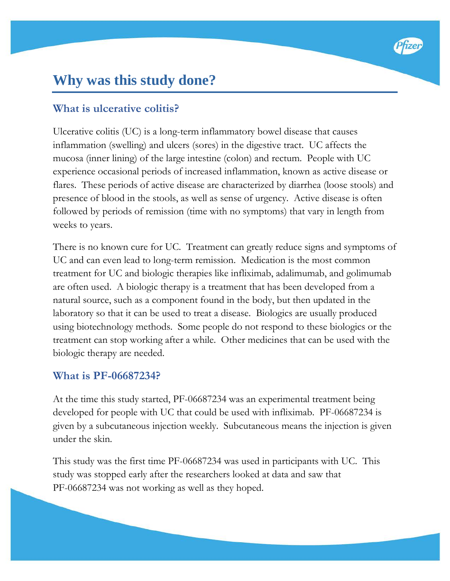# **Why was this study done?**

#### **What is ulcerative colitis?**

Ulcerative colitis (UC) is a long-term inflammatory bowel disease that causes inflammation (swelling) and ulcers (sores) in the digestive tract. UC affects the mucosa (inner lining) of the large intestine (colon) and rectum. People with UC experience occasional periods of increased inflammation, known as active disease or flares. These periods of active disease are characterized by diarrhea (loose stools) and presence of blood in the stools, as well as sense of urgency. Active disease is often followed by periods of remission (time with no symptoms) that vary in length from weeks to years.

There is no known cure for UC. Treatment can greatly reduce signs and symptoms of UC and can even lead to long-term remission. Medication is the most common treatment for UC and biologic therapies like infliximab, adalimumab, and golimumab are often used. A biologic therapy is a treatment that has been developed from a natural source, such as a component found in the body, but then updated in the laboratory so that it can be used to treat a disease. Biologics are usually produced using biotechnology methods. Some people do not respond to these biologics or the treatment can stop working after a while. Other medicines that can be used with the biologic therapy are needed.

#### **What is PF-06687234?**

At the time this study started, PF-06687234 was an experimental treatment being developed for people with UC that could be used with infliximab. PF-06687234 is given by a subcutaneous injection weekly. Subcutaneous means the injection is given under the skin.

This study was the first time PF-06687234 was used in participants with UC. This study was stopped early after the researchers looked at data and saw that PF-06687234 was not working as well as they hoped.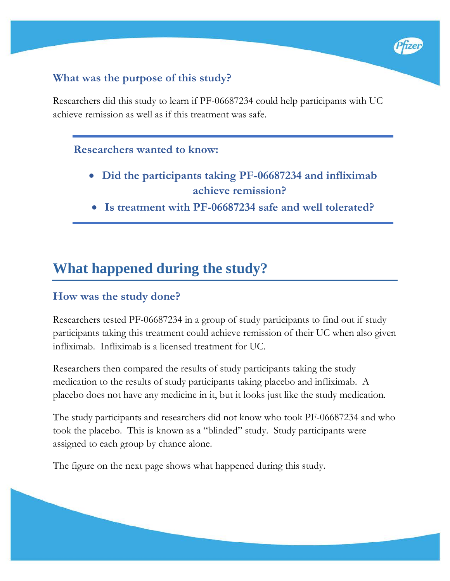#### **What was the purpose of this study?**

Researchers did this study to learn if PF-06687234 could help participants with UC achieve remission as well as if this treatment was safe.

#### **Researchers wanted to know:**

• **Did the participants taking PF-06687234 and infliximab achieve remission?**

Pfizer

• **Is treatment with PF-06687234 safe and well tolerated?**

# **What happened during the study?**

#### **How was the study done?**

Researchers tested PF-06687234 in a group of study participants to find out if study participants taking this treatment could achieve remission of their UC when also given infliximab. Infliximab is a licensed treatment for UC.

Researchers then compared the results of study participants taking the study medication to the results of study participants taking placebo and infliximab. A placebo does not have any medicine in it, but it looks just like the study medication.

The study participants and researchers did not know who took PF-06687234 and who took the placebo. This is known as a "blinded" study. Study participants were assigned to each group by chance alone.

The figure on the next page shows what happened during this study.

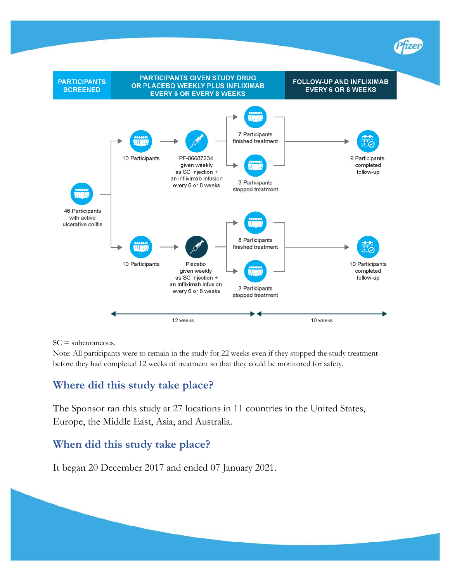

SC = subcutaneous.

Note: All participants were to remain in the study for 22 weeks even if they stopped the study treatment before they had completed 12 weeks of treatment so that they could be monitored for safety.

#### **Where did this study take place?**

The Sponsor ran this study at 27 locations in 11 countries in the United States, Europe, the Middle East, Asia, and Australia.

#### **When did this study take place?**

It began 20 December 2017 and ended 07 January 2021.

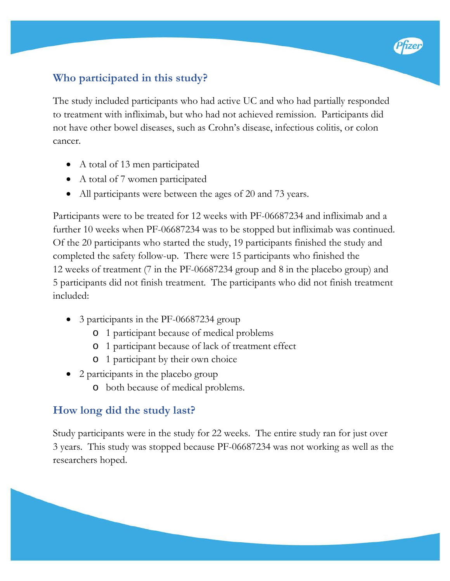#### **Who participated in this study?**

The study included participants who had active UC and who had partially responded to treatment with infliximab, but who had not achieved remission. Participants did not have other bowel diseases, such as Crohn's disease, infectious colitis, or colon cancer.

- A total of 13 men participated
- A total of 7 women participated
- All participants were between the ages of 20 and 73 years.

Participants were to be treated for 12 weeks with PF-06687234 and infliximab and a further 10 weeks when PF-06687234 was to be stopped but infliximab was continued. Of the 20 participants who started the study, 19 participants finished the study and completed the safety follow-up. There were 15 participants who finished the 12 weeks of treatment (7 in the PF-06687234 group and 8 in the placebo group) and 5 participants did not finish treatment. The participants who did not finish treatment included:

- 3 participants in the PF-06687234 group
	- o 1 participant because of medical problems
	- o 1 participant because of lack of treatment effect
	- o 1 participant by their own choice
- 2 participants in the placebo group
	- o both because of medical problems.

#### **How long did the study last?**

Study participants were in the study for 22 weeks. The entire study ran for just over 3 years. This study was stopped because PF-06687234 was not working as well as the researchers hoped.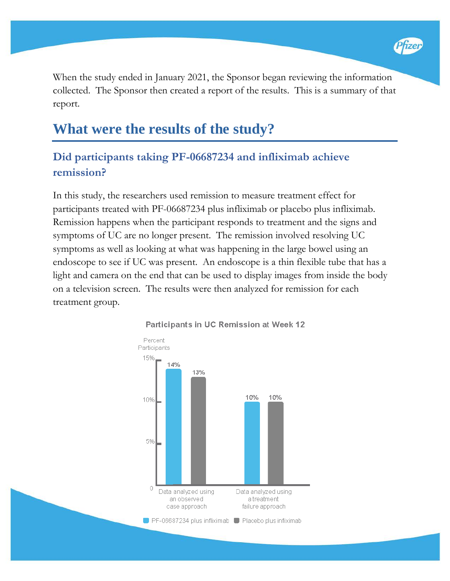

When the study ended in January 2021, the Sponsor began reviewing the information collected. The Sponsor then created a report of the results. This is a summary of that report.

## **What were the results of the study?**

### **Did participants taking PF-06687234 and infliximab achieve remission?**

In this study, the researchers used remission to measure treatment effect for participants treated with PF-06687234 plus infliximab or placebo plus infliximab. Remission happens when the participant responds to treatment and the signs and symptoms of UC are no longer present. The remission involved resolving UC symptoms as well as looking at what was happening in the large bowel using an endoscope to see if UC was present. An endoscope is a thin flexible tube that has a light and camera on the end that can be used to display images from inside the body on a television screen. The results were then analyzed for remission for each treatment group.



#### Participants in UC Remission at Week 12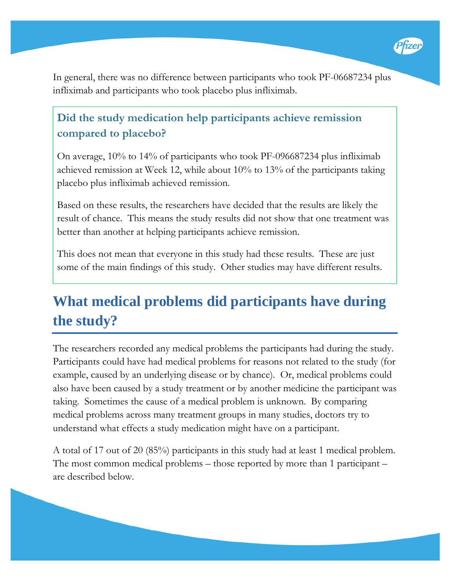

In general, there was no difference between participants who took PF-06687234 plus infliximab and participants who took placebo plus infliximab.

### **Did the study medication help participants achieve remission compared to placebo?**

On average, 10% to 14% of participants who took PF-096687234 plus infliximab achieved remission at Week 12, while about 10% to 13% of the participants taking placebo plus infliximab achieved remission.

Based on these results, the researchers have decided that the results are likely the result of chance. This means the study results did not show that one treatment was better than another at helping participants achieve remission.

This does not mean that everyone in this study had these results. These are just some of the main findings of this study. Other studies may have different results.

# **What medical problems did participants have during the study?**

The researchers recorded any medical problems the participants had during the study. Participants could have had medical problems for reasons not related to the study (for example, caused by an underlying disease or by chance). Or, medical problems could also have been caused by a study treatment or by another medicine the participant was taking. Sometimes the cause of a medical problem is unknown. By comparing medical problems across many treatment groups in many studies, doctors try to understand what effects a study medication might have on a participant.

A total of 17 out of 20 (85%) participants in this study had at least 1 medical problem. The most common medical problems – those reported by more than 1 participant – are described below.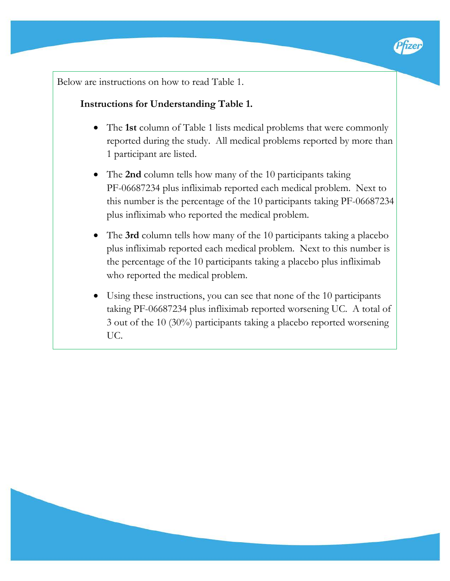

Below are instructions on how to read Table 1.

#### **Instructions for Understanding Table 1.**

- The **1st** column of Table 1 lists medical problems that were commonly reported during the study. All medical problems reported by more than 1 participant are listed.
- The **2nd** column tells how many of the 10 participants taking PF-06687234 plus infliximab reported each medical problem. Next to this number is the percentage of the 10 participants taking PF-06687234 plus infliximab who reported the medical problem.
- The **3rd** column tells how many of the 10 participants taking a placebo plus infliximab reported each medical problem. Next to this number is the percentage of the 10 participants taking a placebo plus infliximab who reported the medical problem.
- Using these instructions, you can see that none of the 10 participants taking PF-06687234 plus infliximab reported worsening UC. A total of 3 out of the 10 (30%) participants taking a placebo reported worsening UC.

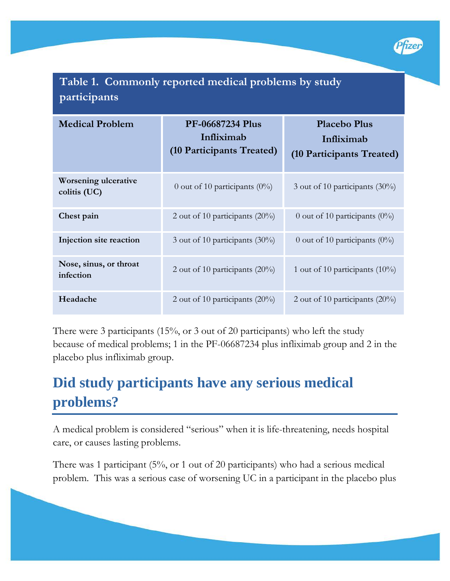

## **Table 1. Commonly reported medical problems by study participants**

| <b>Medical Problem</b>                      | <b>PF-06687234 Plus</b><br>Infliximab<br>(10 Participants Treated) | <b>Placebo Plus</b><br>Infliximab<br>(10 Participants Treated) |
|---------------------------------------------|--------------------------------------------------------------------|----------------------------------------------------------------|
| <b>Worsening ulcerative</b><br>colitis (UC) | 0 out of 10 participants $(0\%)$                                   | 3 out of 10 participants $(30\%)$                              |
| Chest pain                                  | 2 out of 10 participants $(20\%)$                                  | 0 out of 10 participants $(0\%)$                               |
| Injection site reaction                     | 3 out of 10 participants $(30\%)$                                  | 0 out of 10 participants $(0\%)$                               |
| Nose, sinus, or throat<br>infection         | 2 out of 10 participants $(20\%)$                                  | 1 out of 10 participants $(10\%)$                              |
| Headache                                    | 2 out of 10 participants $(20\%)$                                  | 2 out of 10 participants $(20\%)$                              |

There were 3 participants (15%, or 3 out of 20 participants) who left the study because of medical problems; 1 in the PF-06687234 plus infliximab group and 2 in the placebo plus infliximab group.

# **Did study participants have any serious medical problems?**

A medical problem is considered "serious" when it is life-threatening, needs hospital care, or causes lasting problems.

There was 1 participant (5%, or 1 out of 20 participants) who had a serious medical problem. This was a serious case of worsening UC in a participant in the placebo plus